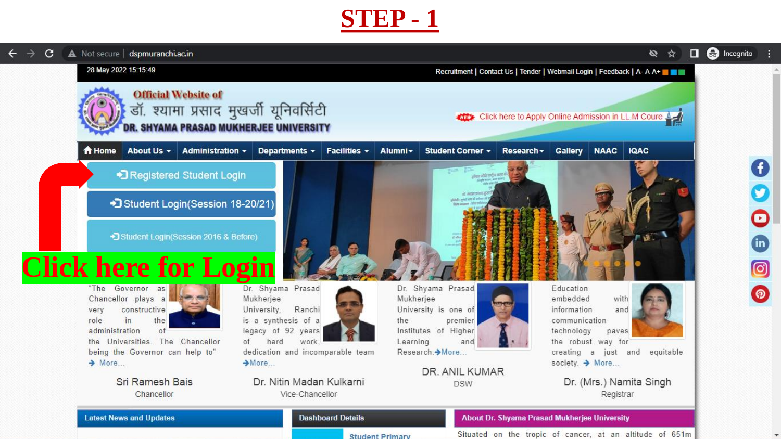| C | A Not secure   dspmuranchi.ac.in                                                                                    |                  |                                                                                                      |                  |                                                                              |                                              |                                                                     |                      | Ø<br>☆                                                                 | <b>e</b> Incognito<br>O |
|---|---------------------------------------------------------------------------------------------------------------------|------------------|------------------------------------------------------------------------------------------------------|------------------|------------------------------------------------------------------------------|----------------------------------------------|---------------------------------------------------------------------|----------------------|------------------------------------------------------------------------|-------------------------|
|   | 28 May 2022 15:15:49                                                                                                |                  |                                                                                                      |                  |                                                                              |                                              |                                                                     |                      | Recruitment   Contact Us   Tender   Webmail Login   Feedback   A- A A+ |                         |
|   | <b>Official Website of</b><br>डॉ. श्यामा प्रसाद मुखर्जी यूनिवर्सिटी<br><b>R. SHYAMA PRASAD MUKHERJEE UNIVERSITY</b> |                  |                                                                                                      |                  | Click here to Apply Online Admission in LL.M Coure                           |                                              |                                                                     |                      |                                                                        |                         |
|   | <b>A</b> Home<br>About Us -                                                                                         | Administration - | Facilities v<br>Departments -                                                                        | Alumni -         | Student Corner +                                                             | Research -                                   | Gallery                                                             | <b>NAAC</b>          | <b>IQAC</b>                                                            |                         |
|   | • Registered Student Login                                                                                          |                  |                                                                                                      |                  | place of the ender may                                                       |                                              |                                                                     |                      |                                                                        |                         |
|   | Student Login(Session 18-20/21)                                                                                     |                  |                                                                                                      |                  | at aerat pier<br>shind cyst on it.                                           |                                              |                                                                     |                      |                                                                        |                         |
|   | • Student Login (Session 2016 & Before)                                                                             |                  |                                                                                                      |                  |                                                                              |                                              |                                                                     |                      |                                                                        |                         |
|   | <b>Click here for Login</b>                                                                                         |                  |                                                                                                      |                  |                                                                              |                                              |                                                                     |                      |                                                                        |                         |
|   | "The Governor as<br>Chancellor plays a<br>constructive<br>very<br>in<br>the<br>role<br>administration<br>of         |                  | Dr. Shyama Prasad<br>Mukherjee<br>Ranchi<br>University,<br>is a synthesis of a<br>legacy of 92 years | Mukherjee<br>the | Dr. Shyama Prasad<br>University is one of<br>premier<br>Institutes of Higher |                                              | Education<br>embedded<br>information<br>communication<br>technology | with<br>and<br>paves |                                                                        |                         |
|   | the Universities. The Chancellor                                                                                    | of               | work.<br>hard                                                                                        | Learning         | and                                                                          |                                              |                                                                     | the robust way for   |                                                                        |                         |
|   | being the Governor can help to"<br>$\rightarrow$ More                                                               |                  | dedication and incomparable team<br>$-More$                                                          |                  | Research. > More                                                             |                                              | society. → More                                                     |                      | creating a just and equitable                                          |                         |
|   | Sri Ramesh Bais<br>Chancellor                                                                                       |                  | Dr. Nitin Madan Kulkarni<br>Vice-Chancellor                                                          |                  | DR. ANIL KUMAR<br><b>DSW</b>                                                 |                                              |                                                                     | Registrar            | Dr. (Mrs.) Namita Singh                                                |                         |
|   | <b>Latest News and Updates</b>                                                                                      |                  | <b>Dashboard Details</b>                                                                             |                  |                                                                              | About Dr. Shyama Prasad Mukherjee University |                                                                     |                      |                                                                        |                         |

**Student Primary** 

Situated on the tropic of cancer, at an altitude of 651m

 $\overline{\phantom{a}}$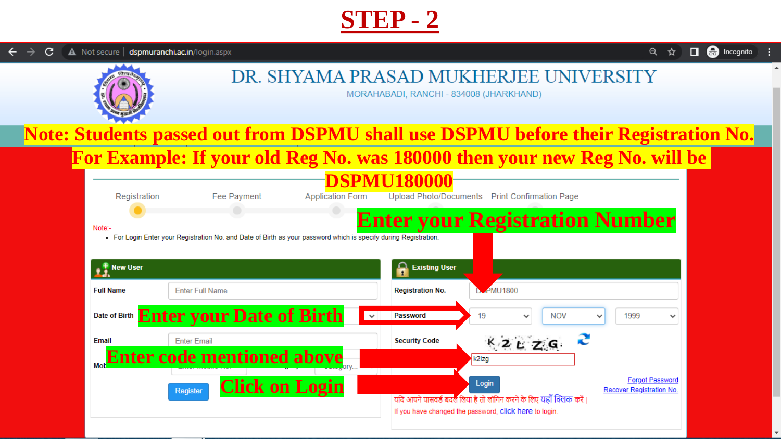**e** Incognito  $Q$  $\Box$ ☆



#### DR. SHYAMA PRASAD MUKHERJEE UNIVERSITY

MORAHABADI, RANCHI - 834008 (JHARKHAND)

## **Note: Students passed out from DSPMU shall use DSPMU before their Registration No.**

#### **For Example: If your old Reg No. was 180000 then your new Reg No. will be**

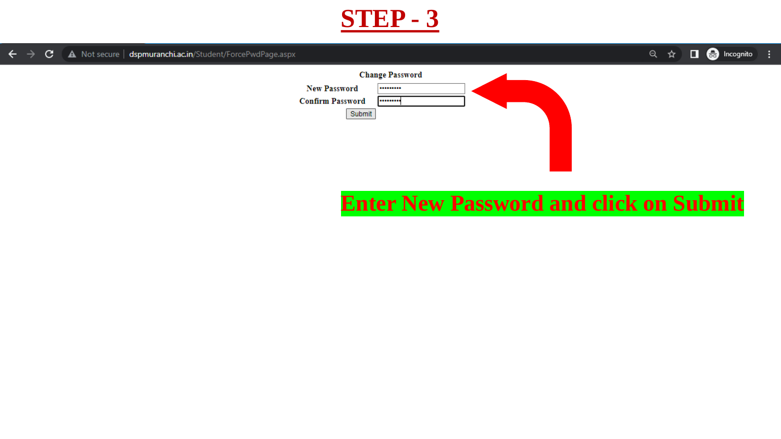

 $\Box$   $\bigoplus$  Incognito A Not secure | dspmuranchi.ac.in/Student/ForcePwdPage.aspx  $\mathbf{C}$ Q ☆ ∴ ÷  $\leftarrow$  $\rightarrow$ **Change Password New Password** ......... **Confirm Password** ......... Submit

### **Enter New Password and click on Submit**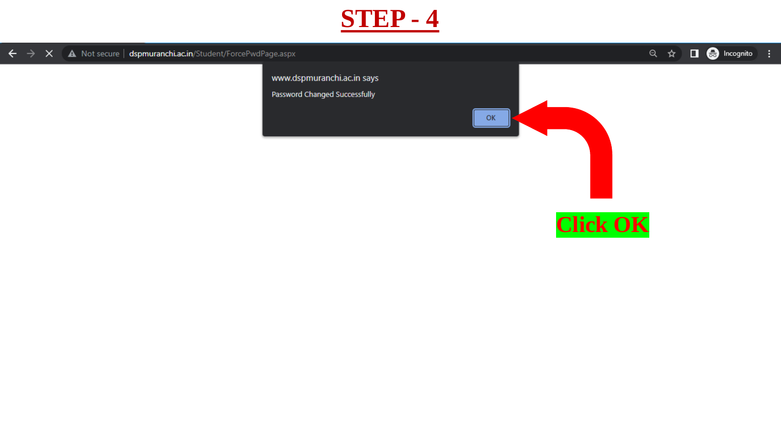

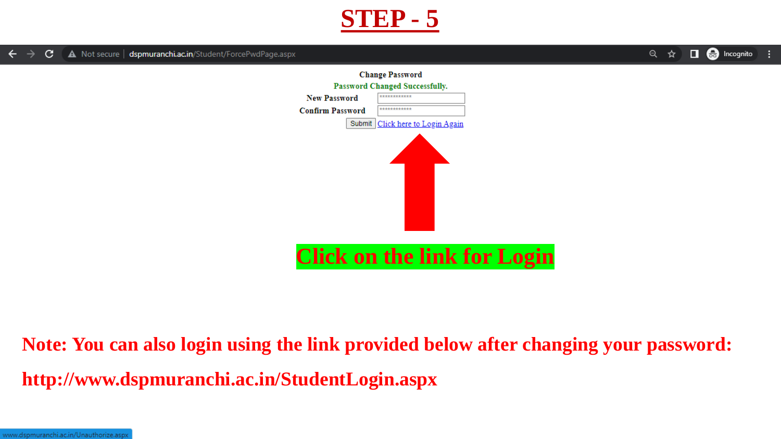

 $\Box$   $\bigoplus$  Incognito  $Q$ ☆



## **Note: You can also login using the link provided below after changing your password: http://www.dspmuranchi.ac.in/StudentLogin.aspx**

www.dspmuranchi.ac.in/Unauthorize.aspx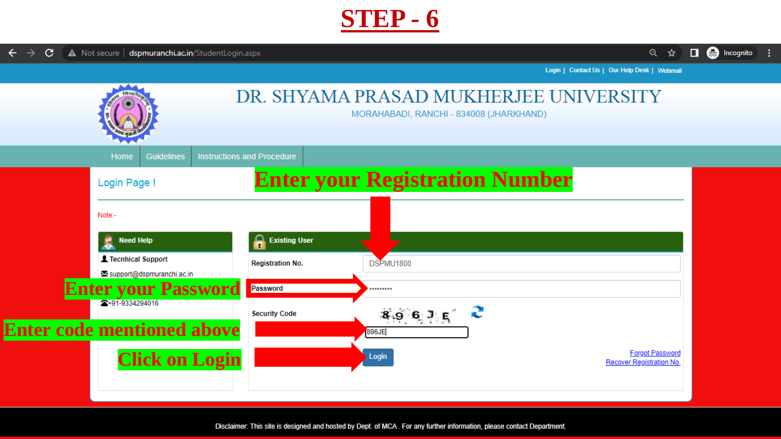



Login | Contact Us | Our Help Desk | Webmail



Disclaimer: This site is designed and hosted by Dept. of MCA. For any further information, please contact Department.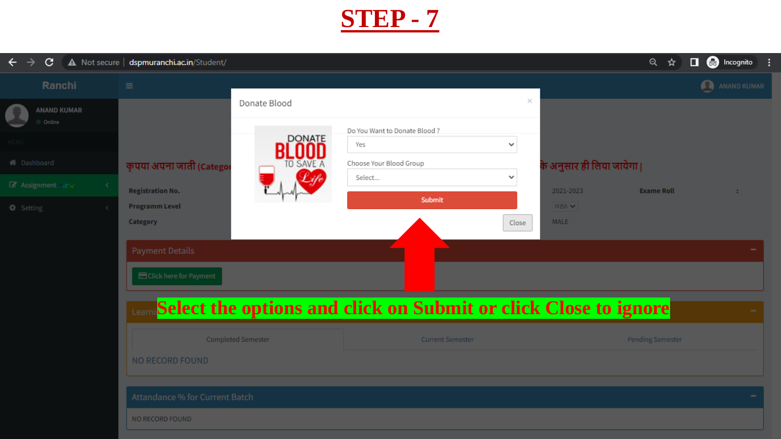

| C<br>$\leftarrow$                   | A Not secure   dspmuranchi.ac.in/Student/ |                    |                                                                 |       |                          | Q<br>☆                  | <b>O</b> Incognito |
|-------------------------------------|-------------------------------------------|--------------------|-----------------------------------------------------------------|-------|--------------------------|-------------------------|--------------------|
| Ranchi                              | $\equiv$                                  |                    |                                                                 |       |                          |                         | ANAND KUMAR        |
| <b>ANAND KUMAR</b><br>Online        |                                           | Donate Blood       |                                                                 | ×     |                          |                         |                    |
|                                     |                                           | <b>DONATE</b>      | Do You Want to Donate Blood?<br>Yes                             | v     |                          |                         |                    |
| <b>备</b> Dashboard                  | कृपया अपना जाती (Catego)                  | <b>SAVE</b>        | Choose Your Blood Group<br>Select                               | ✓     | के अनुसार ही लिया जायेगा |                         |                    |
| <b>Z</b> Assignment NEW             | <b>Registration No.</b>                   |                    | Submit                                                          |       | 2021-2023                | <b>Exame Roll</b>       | -11                |
| <b><math>\bullet</math></b> Setting | <b>Programm Level</b><br><b>Category</b>  |                    |                                                                 | Close | MBA V<br><b>MALE</b>     |                         |                    |
|                                     |                                           |                    |                                                                 |       |                          |                         |                    |
|                                     | <b>Payment Details</b>                    |                    |                                                                 |       |                          |                         |                    |
|                                     | Click here for Payment                    |                    |                                                                 |       |                          |                         |                    |
|                                     |                                           |                    | Select the options and click on Submit or click Close to ignore |       |                          |                         |                    |
|                                     |                                           | Completed Semester | <b>Current Semester</b>                                         |       |                          | <b>Pending Semester</b> |                    |
|                                     | <b>NO RECORD FOUND</b>                    |                    |                                                                 |       |                          |                         |                    |
|                                     | Attandance % for Current Batch            |                    |                                                                 |       |                          |                         |                    |
|                                     | NO RECORD FOUND                           |                    |                                                                 |       |                          |                         |                    |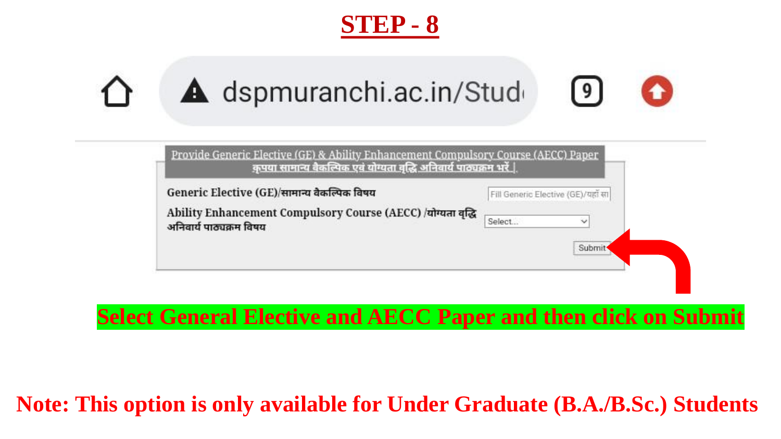



| Provide Generic Elective (GE) & Ability Enhancement Compulsory Course (AECC) Paper<br><u>कृपया सामान्य वैकल्पिक एवं योग्यता वृद्धि अनिवार्य पाठ्यक्रम भरें  </u> |                                                                     |
|------------------------------------------------------------------------------------------------------------------------------------------------------------------|---------------------------------------------------------------------|
| Generic Elective (GE)/सामान्य वैकल्पिक विषय<br>Ability Enhancement Compulsory Course (AECC) /योग्यता वृद्धि<br>अनिवार्य पाठ्यक्रम विषय                           | Fill Generic Elective (GE)/यहाँ सा<br>$\ddot{}$<br>Select<br>Submit |
|                                                                                                                                                                  |                                                                     |

### **Select General Elective and AECC Paper and then click on Submit**

### **Note: This option is only available for Under Graduate (B.A./B.Sc.) Students**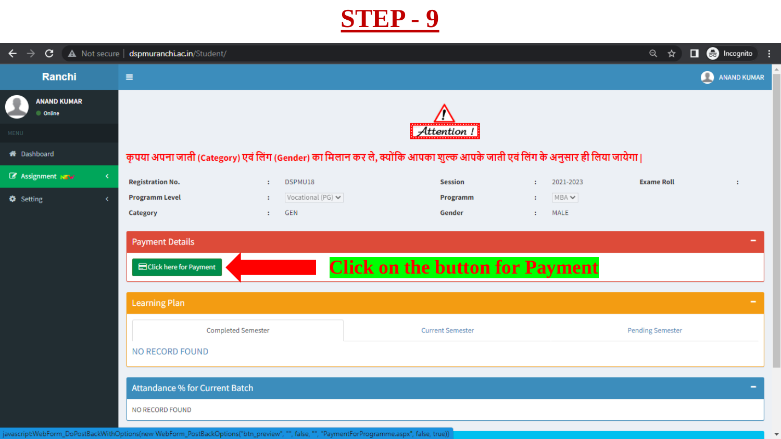

| $\leftarrow$ $\rightarrow$<br>$\mathbf{C}$ | A Not secure   dspmuranchi.ac.in/Student/                                                                                   |                                | <b>e</b> Incognito<br>Q<br>☆<br>$\Box$ |  |  |  |  |  |
|--------------------------------------------|-----------------------------------------------------------------------------------------------------------------------------|--------------------------------|----------------------------------------|--|--|--|--|--|
| <b>Ranchi</b>                              | $\equiv$                                                                                                                    |                                | $\bullet$<br><b>ANAND KUMAR</b>        |  |  |  |  |  |
| <b>ANAND KUMAR</b><br>C Online             |                                                                                                                             |                                |                                        |  |  |  |  |  |
| MENU                                       |                                                                                                                             | Attention!                     |                                        |  |  |  |  |  |
| <b>A</b> Dashboard                         | कृपया अपना जाती (Category) एवं लिंग (Gender) का मिलान कर ले, क्योंकि आपका शुल्क आपके जाती एवं लिंग के अनुसार ही लिया जायेगा |                                |                                        |  |  |  |  |  |
| <b>Z</b> Assignment NEW<br>≺               | <b>Registration No.</b><br>DSPMU18<br>$\mathbf{L}$                                                                          | <b>Session</b><br>$\mathbf{r}$ | <b>Exame Roll</b><br>2021-2023<br>÷    |  |  |  |  |  |
| <b><math>\bullet</math></b> Setting        | <b>Programm Level</b><br>Vocational (PG) $\blacktriangleright$<br>$\mathbf{E}$                                              | Programm<br>$\sim$             | $MBA \vee$                             |  |  |  |  |  |
|                                            | <b>GEN</b><br>Category<br>$\mathbf{1}$ .                                                                                    | Gender<br>$\mathbf{1}$         | MALE                                   |  |  |  |  |  |
|                                            | <b>Payment Details</b><br><b>Click on the button for Payment</b><br>Click here for Payment                                  |                                |                                        |  |  |  |  |  |
|                                            | <b>Learning Plan</b>                                                                                                        |                                |                                        |  |  |  |  |  |
|                                            | <b>Completed Semester</b>                                                                                                   | <b>Current Semester</b>        | <b>Pending Semester</b>                |  |  |  |  |  |
|                                            | <b>NO RECORD FOUND</b>                                                                                                      |                                |                                        |  |  |  |  |  |
|                                            | <b>Attandance % for Current Batch</b>                                                                                       |                                |                                        |  |  |  |  |  |
|                                            |                                                                                                                             |                                |                                        |  |  |  |  |  |
|                                            | NO RECORD FOUND                                                                                                             |                                |                                        |  |  |  |  |  |

 $\overline{\mathbf{v}}$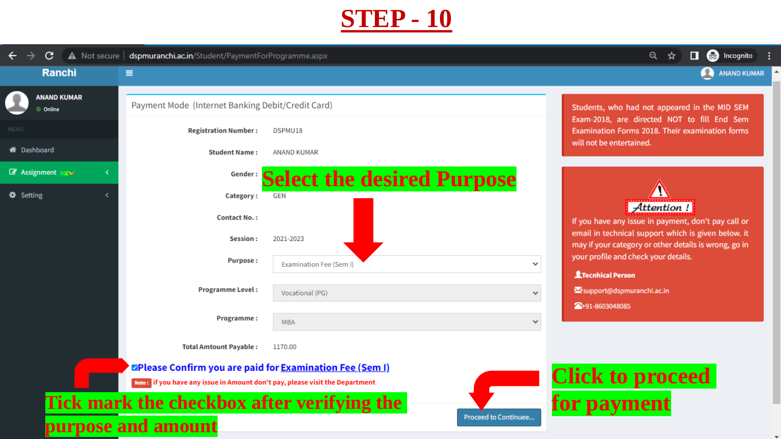

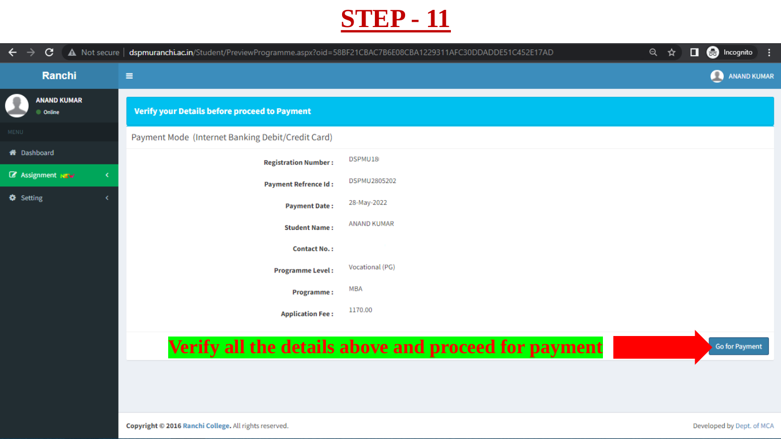

| $\leftarrow$<br>C.<br>$\rightarrow$ | A Not secure   dspmuranchi.ac.in/Student/PreviewProgramme.aspx?oid=58BF21CBAC7B6E08CBA1229311AFC30DDADDE51C452E17AD |                    | $\Box$ $\bigoplus$ Incognito<br>Q<br>☆ |
|-------------------------------------|---------------------------------------------------------------------------------------------------------------------|--------------------|----------------------------------------|
| Ranchi                              | $\equiv$                                                                                                            |                    | $\bullet$<br><b>ANAND KUMAR</b>        |
| <b>ANAND KUMAR</b><br>Conline       | <b>Verify your Details before proceed to Payment</b>                                                                |                    |                                        |
| <b>MENU</b>                         | Payment Mode (Internet Banking Debit/Credit Card)                                                                   |                    |                                        |
| <b>X</b> Dashboard                  | <b>Registration Number:</b>                                                                                         | DSPMU18            |                                        |
| <b>Z</b> Assignment NEW             | <b>Payment Refrence Id:</b>                                                                                         | DSPMU2805202       |                                        |
| <b><math>\bullet</math></b> Setting | <b>Payment Date:</b>                                                                                                | 28-May-2022        |                                        |
|                                     | <b>Student Name:</b>                                                                                                | <b>ANAND KUMAR</b> |                                        |
|                                     | <b>Contact No.:</b>                                                                                                 |                    |                                        |
|                                     | <b>Programme Level:</b>                                                                                             | Vocational (PG)    |                                        |
|                                     | Programme:                                                                                                          | <b>MBA</b>         |                                        |
|                                     | <b>Application Fee:</b>                                                                                             | 1170.00            |                                        |
|                                     |                                                                                                                     |                    |                                        |

#### **Verify all the details above and proceed for payment**

**Go for Payment**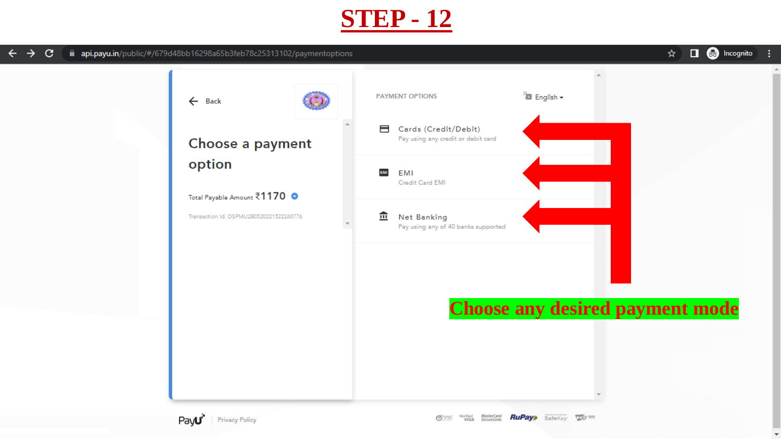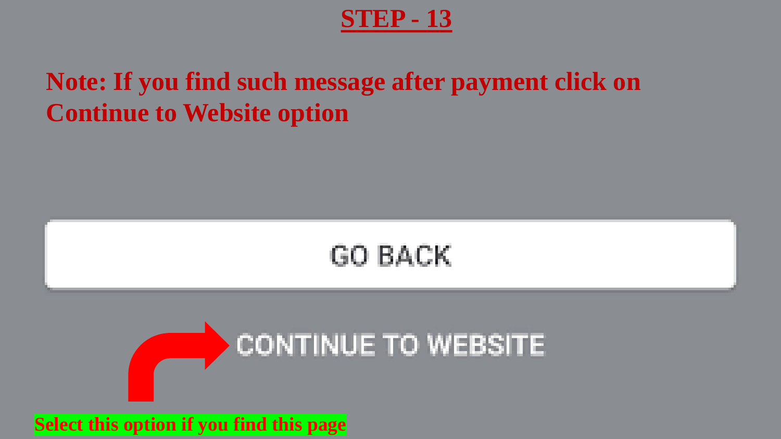## **Note: If you find such message after payment click on Continue to Website option**

# **GO BACK**



#### **Select this option if you find this page**